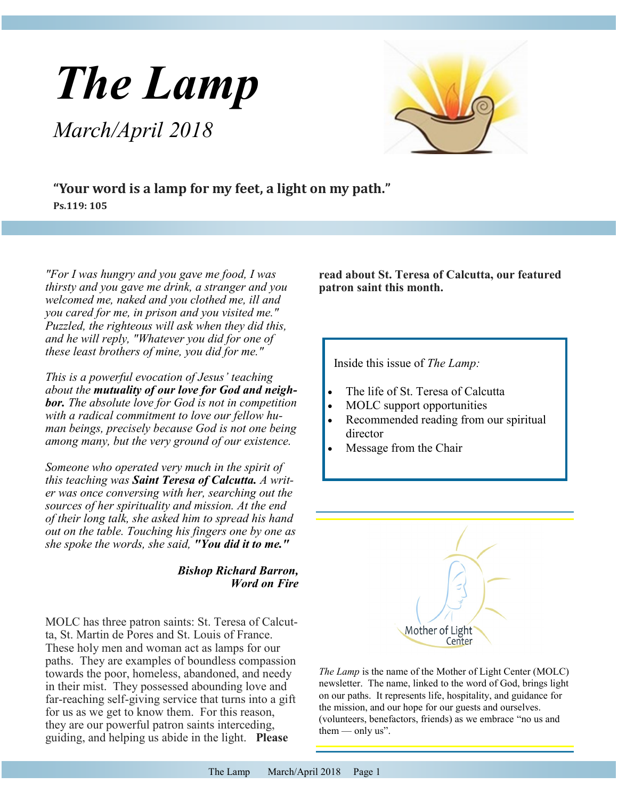# *The Lamp*

*March/April 2018*



**"Your word is a lamp for my feet, a light on my path." Ps.119: 105**

*"For I was hungry and you gave me food, I was thirsty and you gave me drink, a stranger and you welcomed me, naked and you clothed me, ill and you cared for me, in prison and you visited me." Puzzled, the righteous will ask when they did this, and he will reply, "Whatever you did for one of these least brothers of mine, you did for me."*

*This is a powerful evocation of Jesus' teaching about the mutuality of our love for God and neighbor. The absolute love for God is not in competition with a radical commitment to love our fellow human beings, precisely because God is not one being among many, but the very ground of our existence.*

*Someone who operated very much in the spirit of this teaching was Saint Teresa of Calcutta. A writer was once conversing with her, searching out the sources of her spirituality and mission. At the end of their long talk, she asked him to spread his hand out on the table. Touching his fingers one by one as she spoke the words, she said, "You did it to me."*

#### *Bishop Richard Barron, Word on Fire*

MOLC has three patron saints: St. Teresa of Calcutta, St. Martin de Pores and St. Louis of France. These holy men and woman act as lamps for our paths. They are examples of boundless compassion towards the poor, homeless, abandoned, and needy in their mist. They possessed abounding love and far-reaching self-giving service that turns into a gift for us as we get to know them. For this reason, they are our powerful patron saints interceding, guiding, and helping us abide in the light. **Please** 

**read about St. Teresa of Calcutta, our featured patron saint this month.**

Inside this issue of *The Lamp:*

- The life of St. Teresa of Calcutta
- MOLC support opportunities
- Recommended reading from our spiritual director
- Message from the Chair



*The Lamp* is the name of the Mother of Light Center (MOLC) newsletter. The name, linked to the word of God, brings light on our paths. It represents life, hospitality, and guidance for the mission, and our hope for our guests and ourselves. (volunteers, benefactors, friends) as we embrace "no us and them  $-$  only us".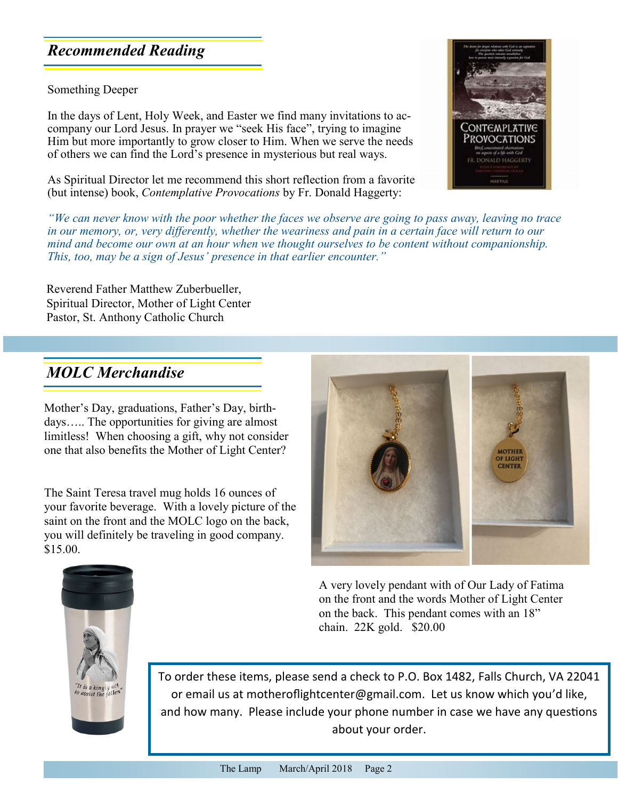## *Recommended Reading*

Something Deeper

In the days of Lent, Holy Week, and Easter we find many invitations to accompany our Lord Jesus. In prayer we "seek His face", trying to imagine Him but more importantly to grow closer to Him. When we serve the needs of others we can find the Lord's presence in mysterious but real ways.

As Spiritual Director let me recommend this short reflection from a favorite (but intense) book, *Contemplative Provocations* by Fr. Donald Haggerty:



*"We can never know with the poor whether the faces we observe are going to pass away, leaving no trace in our memory, or, very differently, whether the weariness and pain in a certain face will return to our mind and become our own at an hour when we thought ourselves to be content without companionship. This, too, may be a sign of Jesus' presence in that earlier encounter.*<sup>"</sup>

Reverend Father Matthew Zuberbueller, Spiritual Director, Mother of Light Center Pastor, St. Anthony Catholic Church

## *MOLC Merchandise*

Mother's Day, graduations, Father's Day, birthdays….. The opportunities for giving are almost limitless! When choosing a gift, why not consider one that also benefits the Mother of Light Center?

The Saint Teresa travel mug holds 16 ounces of your favorite beverage. With a lovely picture of the saint on the front and the MOLC logo on the back, you will definitely be traveling in good company. \$15.00.



A very lovely pendant with of Our Lady of Fatima on the front and the words Mother of Light Center on the back. This pendant comes with an 18" chain. 22K gold. \$20.00



To order these items, please send a check to P.O. Box 1482, Falls Church, VA 22041 or email us at motherofightcenter@gmail.com. Let us know which you'd like, and how many. Please include your phone number in case we have any questions about your order.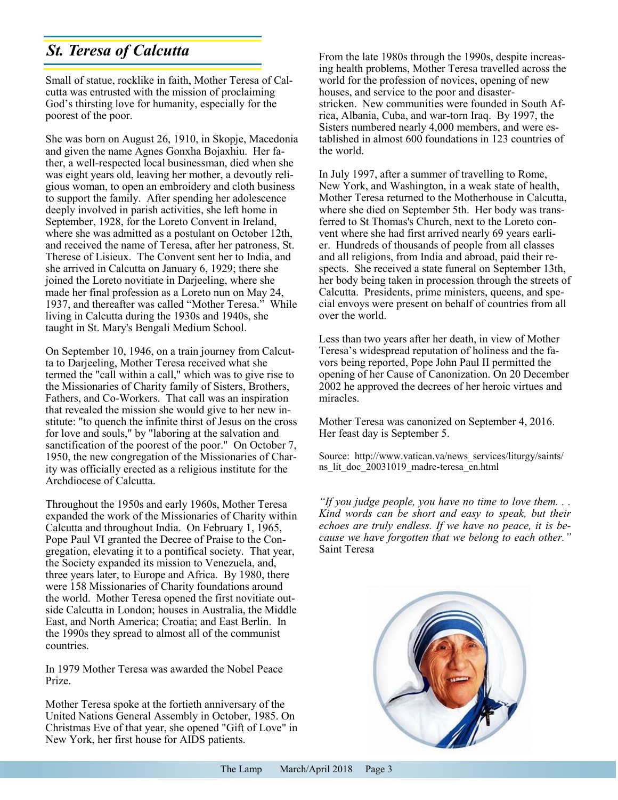## *St. Teresa of Calcutta*

Small of statue, rocklike in faith, Mother Teresa of Calcutta was entrusted with the mission of proclaiming God's thirsting love for humanity, especially for the poorest of the poor.

She was born on August 26, 1910, in Skopje, Macedonia and given the name Agnes Gonxha Bojaxhiu. Her father, a well-respected local businessman, died when she was eight years old, leaving her mother, a devoutly religious woman, to open an embroidery and cloth business to support the family. After spending her adolescence deeply involved in parish activities, she left home in September, 1928, for the Loreto Convent in Ireland, where she was admitted as a postulant on October 12th, and received the name of Teresa, after her patroness, St. Therese of Lisieux. The Convent sent her to India, and she arrived in Calcutta on January 6, 1929; there she joined the Loreto novitiate in Darjeeling, where she made her final profession as a Loreto nun on May 24, 1937, and thereafter was called "Mother Teresa." While living in Calcutta during the 1930s and 1940s, she taught in St. Mary's Bengali Medium School.

On September 10, 1946, on a train journey from Calcutta to Darjeeling, Mother Teresa received what she termed the "call within a call," which was to give rise to the Missionaries of Charity family of Sisters, Brothers, Fathers, and Co-Workers. That call was an inspiration that revealed the mission she would give to her new institute: "to quench the infinite thirst of Jesus on the cross for love and souls," by "laboring at the salvation and sanctification of the poorest of the poor." On October 7, 1950, the new congregation of the Missionaries of Charity was officially erected as a religious institute for the Archdiocese of Calcutta.

Throughout the 1950s and early 1960s, Mother Teresa expanded the work of the Missionaries of Charity within Calcutta and throughout India. On February 1, 1965, Pope Paul VI granted the Decree of Praise to the Congregation, elevating it to a pontifical society. That year, the Society expanded its mission to Venezuela, and, three years later, to Europe and Africa. By 1980, there were 158 Missionaries of Charity foundations around the world. Mother Teresa opened the first novitiate outside Calcutta in London; houses in Australia, the Middle East, and North America; Croatia; and East Berlin. In the 1990s they spread to almost all of the communist countries.

In 1979 Mother Teresa was awarded the Nobel Peace Prize.

Mother Teresa spoke at the fortieth anniversary of the United Nations General Assembly in October, 1985. On Christmas Eve of that year, she opened "Gift of Love" in New York, her first house for AIDS patients.

From the late 1980s through the 1990s, despite increasing health problems, Mother Teresa travelled across the world for the profession of novices, opening of new houses, and service to the poor and disasterstricken. New communities were founded in South Africa, Albania, Cuba, and war-torn Iraq. By 1997, the Sisters numbered nearly 4,000 members, and were established in almost 600 foundations in 123 countries of the world.

In July 1997, after a summer of travelling to Rome, New York, and Washington, in a weak state of health, Mother Teresa returned to the Motherhouse in Calcutta, where she died on September 5th. Her body was transferred to St Thomas's Church, next to the Loreto convent where she had first arrived nearly 69 years earlier. Hundreds of thousands of people from all classes and all religions, from India and abroad, paid their respects. She received a state funeral on September 13th, her body being taken in procession through the streets of Calcutta. Presidents, prime ministers, queens, and special envoys were present on behalf of countries from all over the world.

Less than two years after her death, in view of Mother Teresa's widespread reputation of holiness and the favors being reported, Pope John Paul II permitted the opening of her Cause of Canonization. On 20 December 2002 he approved the decrees of her heroic virtues and miracles.

Mother Teresa was canonized on September 4, 2016. Her feast day is September 5.

Source: http://www.vatican.va/news\_services/liturgy/saints/ ns\_lit\_doc\_20031019\_madre-teresa\_en.html

*"If you judge people, you have no time to love them. . . Kind words can be short and easy to speak, but their echoes are truly endless. If we have no peace, it is because we have forgotten that we belong to each other."* Saint Teresa